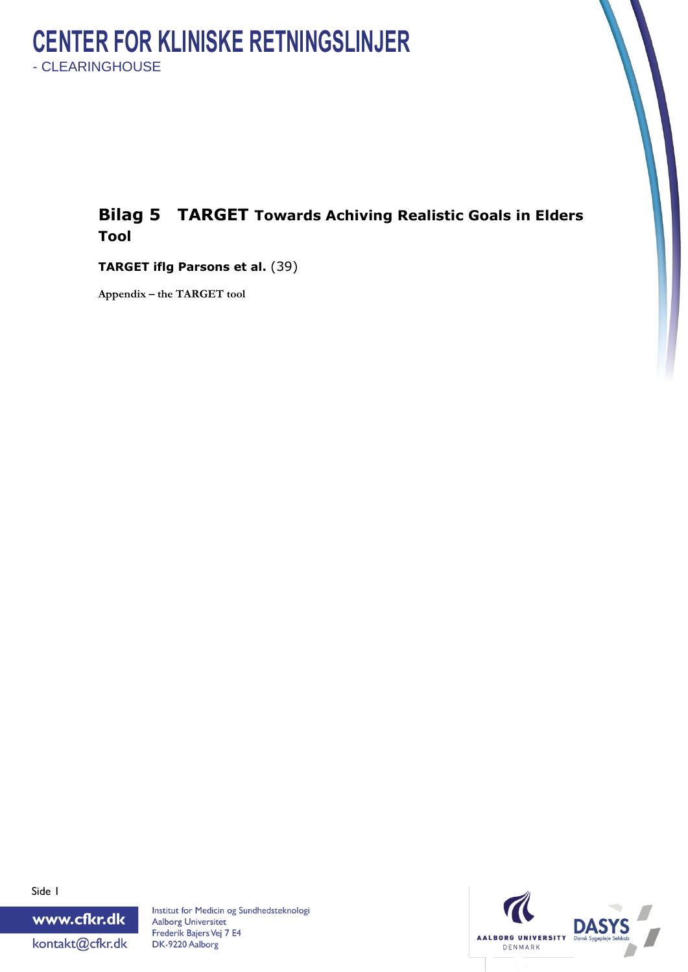### **Bilag 5 TARGET Towards Achiving Realistic Goals in Elders Tool**

**TARGET iflg Parsons et al.** (39)

**Appendix – the TARGET tool**



Side 1

www.cfkr.dk kontakt@cfkr.dk Institut for Medicin og Sundhedsteknologi Aalborg Universitet Frederik Bajers Vej 7 E4 DK-9220 Aalborg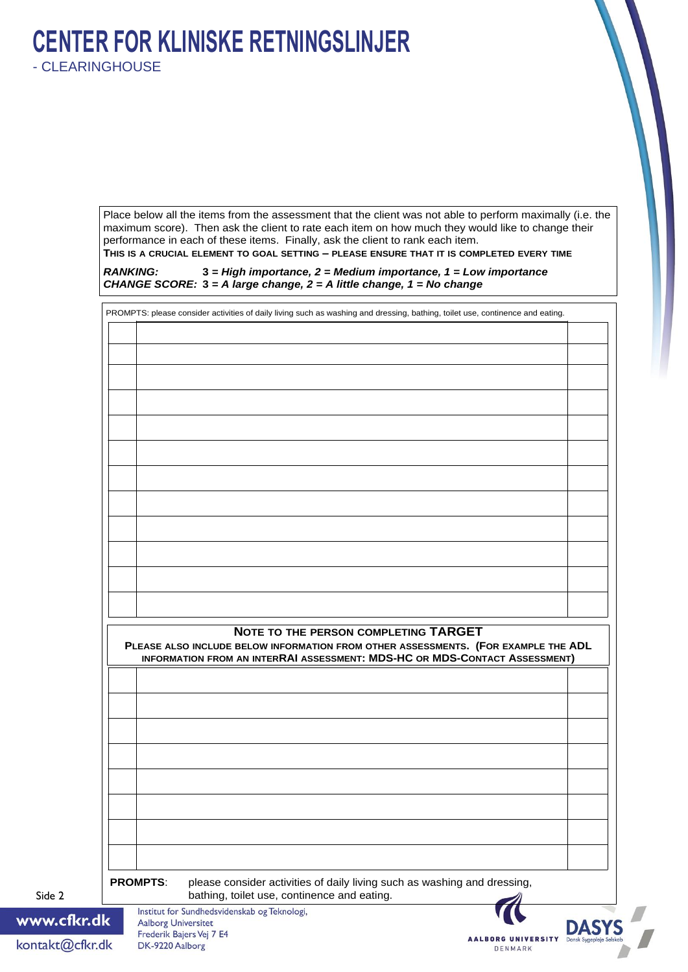Place below all the items from the assessment that the client was not able to perform maximally (i.e. the maximum score). Then ask the client to rate each item on how much they would like to change their performance in each of these items. Finally, ask the client to rank each item. **THIS IS A CRUCIAL ELEMENT TO GOAL SETTING – PLEASE ENSURE THAT IT IS COMPLETED EVERY TIME**

*RANKING:* **3** *= High importance, 2 = Medium importance, 1 = Low importance CHANGE SCORE:* **3** *= A large change, 2 = A little change, 1 = No change*

PROMPTS: please consider activities of daily living such as washing and dressing, bathing, toilet use, continence and eating.

|                                | NOTE TO THE PERSON COMPLETING TARGET<br>PLEASE ALSO INCLUDE BELOW INFORMATION FROM OTHER ASSESSMENTS. (FOR EXAMPLE THE ADL                 |             |  |  |
|--------------------------------|--------------------------------------------------------------------------------------------------------------------------------------------|-------------|--|--|
|                                | INFORMATION FROM AN INTERRAI ASSESSMENT: MDS-HC OR MDS-CONTACT ASSESSMENT)                                                                 |             |  |  |
|                                |                                                                                                                                            |             |  |  |
|                                |                                                                                                                                            |             |  |  |
|                                |                                                                                                                                            |             |  |  |
|                                |                                                                                                                                            |             |  |  |
|                                |                                                                                                                                            |             |  |  |
|                                |                                                                                                                                            |             |  |  |
|                                |                                                                                                                                            |             |  |  |
|                                |                                                                                                                                            |             |  |  |
|                                |                                                                                                                                            |             |  |  |
|                                |                                                                                                                                            |             |  |  |
|                                |                                                                                                                                            |             |  |  |
|                                |                                                                                                                                            |             |  |  |
| Side 2                         | <b>PROMPTS:</b><br>please consider activities of daily living such as washing and dressing,<br>bathing, toilet use, continence and eating. |             |  |  |
|                                | Institut for Sundhedsvidenskab og Teknologi,                                                                                               |             |  |  |
| www.cfkr.dk<br>kontakt@cfkr.dk | <b>Aalborg Universitet</b><br>Frederik Bajers Vej 7 E4<br><b>AALBORG UNIVERSITY</b><br>DK-9220 Aalborg<br>DENMARK                          | Dansk Syger |  |  |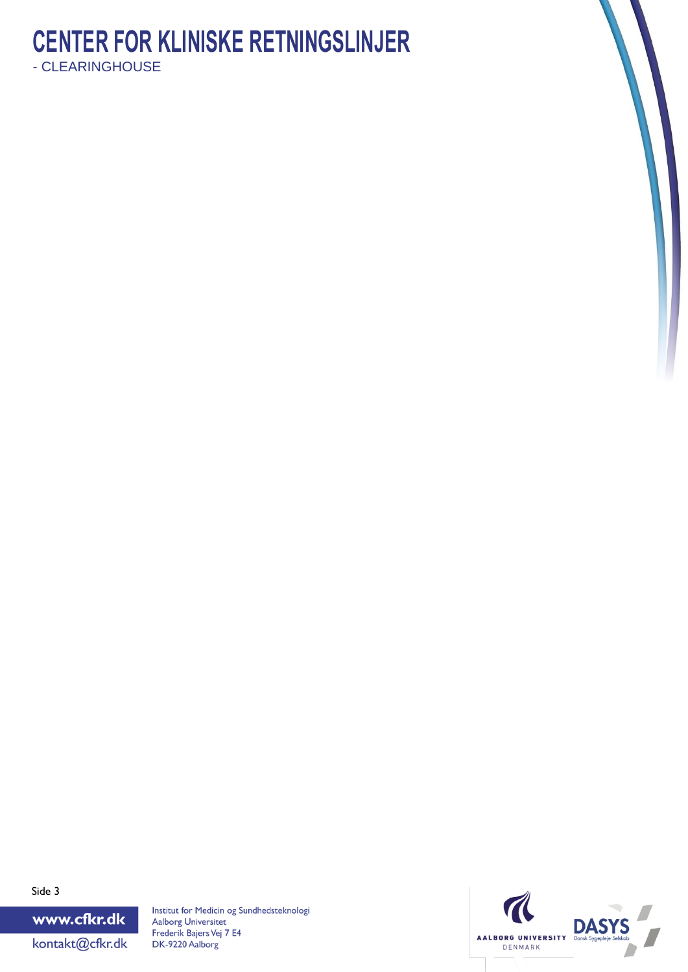# **CENTER FOR KLINISKE RETNINGSLINJER** - CLEARINGHOUSE

Side 3



Institut for Medicin og Sundhedsteknologi Aalborg Universitet Frederik Bajers Vej 7 E4 DK-9220 Aalborg

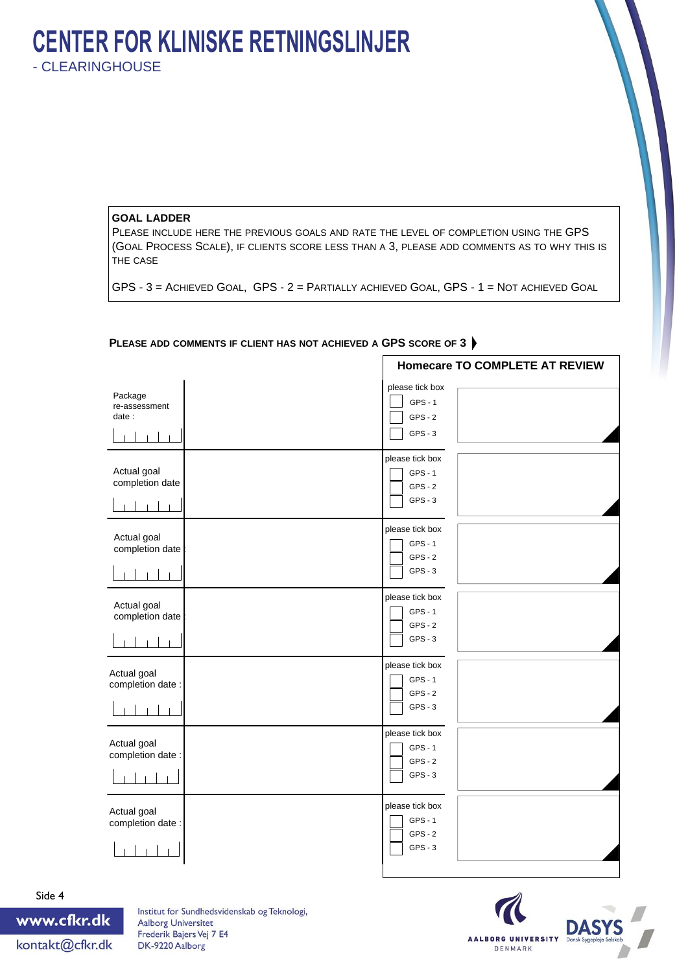#### **GOAL LADDER**

PLEASE INCLUDE HERE THE PREVIOUS GOALS AND RATE THE LEVEL OF COMPLETION USING THE GPS (GOAL PROCESS SCALE), IF CLIENTS SCORE LESS THAN A 3, PLEASE ADD COMMENTS AS TO WHY THIS IS THE CASE

GPS - 3 = ACHIEVED GOAL, GPS - 2 = PARTIALLY ACHIEVED GOAL, GPS - 1 = NOT ACHIEVED GOAL

|                                   |  | Homecare TO COMPLETE AT REVIEW                         |  |  |
|-----------------------------------|--|--------------------------------------------------------|--|--|
| Package<br>re-assessment<br>date: |  | please tick box<br>$GPS - 1$<br>$GPS - 2$<br>$GPS - 3$ |  |  |
| Actual goal<br>completion date    |  | please tick box<br>$GPS - 1$<br>$GPS - 2$<br>$GPS - 3$ |  |  |
| Actual goal<br>completion date    |  | please tick box<br>$GPS - 1$<br>$GPS - 2$<br>$GPS - 3$ |  |  |
| Actual goal<br>completion date    |  | please tick box<br>$GPS - 1$<br>$GPS - 2$<br>$GPS - 3$ |  |  |
| Actual goal<br>completion date :  |  | please tick box<br>$GPS - 1$<br>$GPS - 2$<br>$GPS - 3$ |  |  |
| Actual goal<br>completion date :  |  | please tick box<br>$GPS - 1$<br>$GPS - 2$<br>$GPS - 3$ |  |  |
| Actual goal<br>completion date :  |  | please tick box<br>$GPS - 1$<br>$GPS - 2$<br>$GPS - 3$ |  |  |

### **PLEASE ADD COMMENTS IF CLIENT HAS NOT ACHIEVED A GPS SCORE OF 3**

Side 4

www.cfkr.dk kontakt@cfkr.dk

Institut for Sundhedsvidenskab og Teknologi, **Aalborg Universitet** Frederik Bajers Vej 7 E4 DK-9220 Aalborg